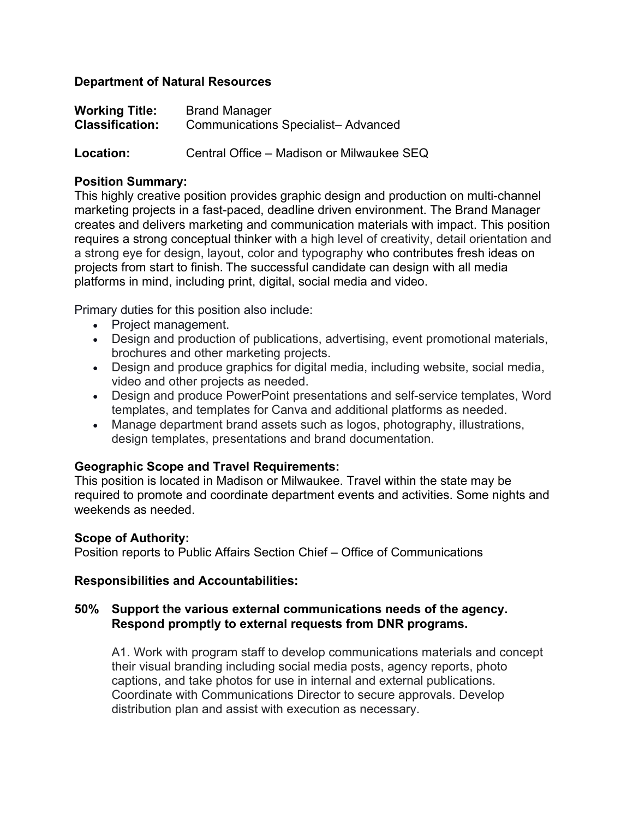## **Department of Natural Resources**

| <b>Working Title:</b>  | <b>Brand Manager</b>                      |
|------------------------|-------------------------------------------|
| <b>Classification:</b> | <b>Communications Specialist-Advanced</b> |

**Location:** Central Office – Madison or Milwaukee SEQ

# **Position Summary:**

This highly creative position provides graphic design and production on multi-channel marketing projects in a fast-paced, deadline driven environment. The Brand Manager creates and delivers marketing and communication materials with impact. This position requires a strong conceptual thinker with a high level of creativity, detail orientation and a strong eye for design, layout, color and typography who contributes fresh ideas on projects from start to finish. The successful candidate can design with all media platforms in mind, including print, digital, social media and video.

Primary duties for this position also include:

- Project management.
- Design and production of publications, advertising, event promotional materials, brochures and other marketing projects.
- Design and produce graphics for digital media, including website, social media, video and other projects as needed.
- Design and produce PowerPoint presentations and self-service templates, Word templates, and templates for Canva and additional platforms as needed.
- Manage department brand assets such as logos, photography, illustrations, design templates, presentations and brand documentation.

# **Geographic Scope and Travel Requirements:**

This position is located in Madison or Milwaukee. Travel within the state may be required to promote and coordinate department events and activities. Some nights and weekends as needed.

# **Scope of Authority:**

Position reports to Public Affairs Section Chief – Office of Communications

#### **Responsibilities and Accountabilities:**

# **50% Support the various external communications needs of the agency. Respond promptly to external requests from DNR programs.**

A1. Work with program staff to develop communications materials and concept their visual branding including social media posts, agency reports, photo captions, and take photos for use in internal and external publications. Coordinate with Communications Director to secure approvals. Develop distribution plan and assist with execution as necessary.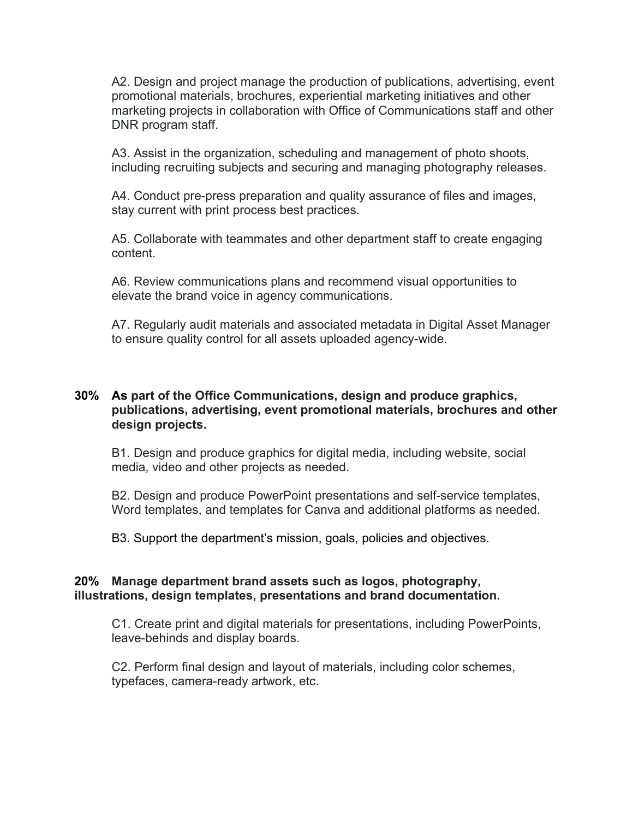A2. Design and project manage the production of publications, advertising, event promotional materials, brochures, experiential marketing initiatives and other marketing projects in collaboration with Office of Communications staff and other DNR program staff.

A3. Assist in the organization, scheduling and management of photo shoots, including recruiting subjects and securing and managing photography releases.

A4. Conduct pre-press preparation and quality assurance of files and images, stay current with print process best practices.

A5. Collaborate with teammates and other department staff to create engaging content.

A6. Review communications plans and recommend visual opportunities to elevate the brand voice in agency communications.

A7. Regularly audit materials and associated metadata in Digital Asset Manager to ensure quality control for all assets uploaded agency-wide.

# **30% As part of the Office Communications, design and produce graphics, publications, advertising, event promotional materials, brochures and other design projects.**

B1. Design and produce graphics for digital media, including website, social media, video and other projects as needed.

B2. Design and produce PowerPoint presentations and self-service templates, Word templates, and templates for Canva and additional platforms as needed.

B3. Support the department's mission, goals, policies and objectives.

#### **20% Manage department brand assets such as logos, photography, illustrations, design templates, presentations and brand documentation.**

C1. Create print and digital materials for presentations, including PowerPoints, leave-behinds and display boards.

C2. Perform final design and layout of materials, including color schemes, typefaces, camera-ready artwork, etc.